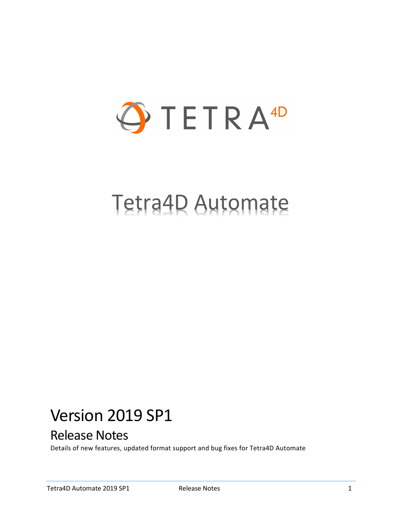

# Tetra4D Automate

## Version 2019 SP1

## Release Notes

Details of new features, updated format support and bug fixes for Tetra4D Automate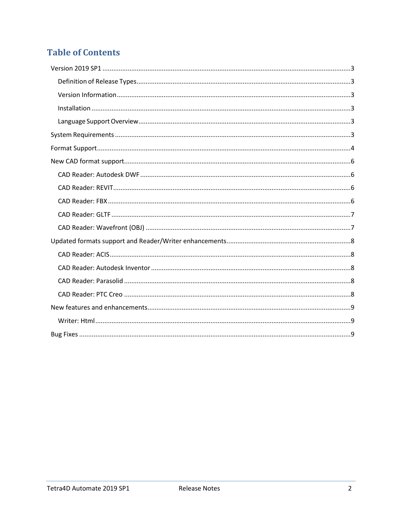## **Table of Contents**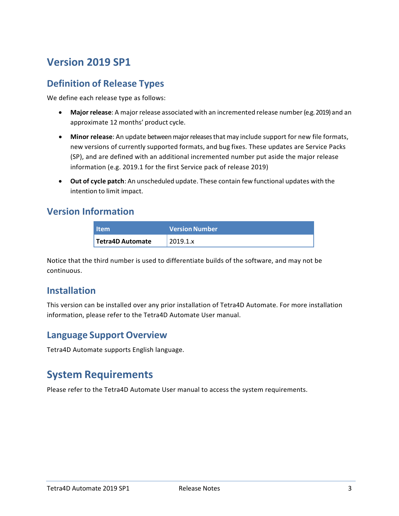## <span id="page-2-0"></span>**Version 2019 SP1**

#### <span id="page-2-1"></span>**Definition of Release Types**

We define each release type as follows:

- **Major release**: A major release associated with an incremented release number (e.g. 2019) and an approximate 12 months' product cycle.
- **Minor release**: An update betweenmajorreleasesthat may include support for new file formats, new versions of currently supported formats, and bug fixes. These updates are Service Packs (SP), and are defined with an additional incremented number put aside the major release information (e.g. 2019.1 for the first Service pack of release 2019)
- **Out of cycle patch**: An unscheduled update. These contain few functional updates with the intention to limit impact.

#### <span id="page-2-2"></span>**Version Information**

| <b>Item</b>             | <b>Version Number</b> |
|-------------------------|-----------------------|
| <b>Tetra4D Automate</b> | 2019.1.x              |

Notice that the third number is used to differentiate builds of the software, and may not be continuous.

#### <span id="page-2-3"></span>**Installation**

This version can be installed over any prior installation of Tetra4D Automate. For more installation information, please refer to the Tetra4D Automate User manual.

#### <span id="page-2-4"></span>**Language Support Overview**

Tetra4D Automate supports English language.

#### <span id="page-2-5"></span>**System Requirements**

Please refer to the Tetra4D Automate User manual to access the system requirements.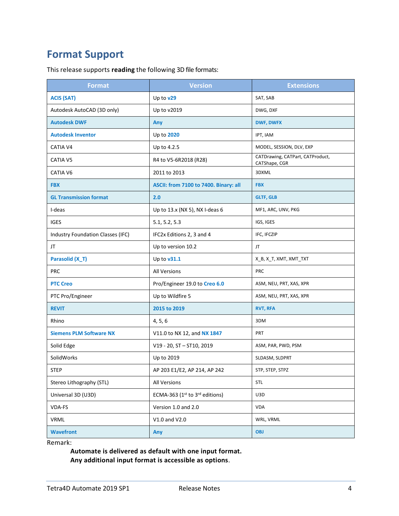## <span id="page-3-0"></span>**Format Support**

This release supports **reading** the following 3D file formats:

| <b>Format</b>                     | <b>Version</b>                        | <b>Extensions</b>                                 |
|-----------------------------------|---------------------------------------|---------------------------------------------------|
| <b>ACIS (SAT)</b>                 | Up to v29                             | SAT, SAB                                          |
| Autodesk AutoCAD (3D only)        | Up to v2019                           | DWG, DXF                                          |
| <b>Autodesk DWF</b>               | Any                                   | <b>DWF, DWFX</b>                                  |
| <b>Autodesk Inventor</b>          | Up to 2020                            | IPT, IAM                                          |
| CATIA V4                          | Up to 4.2.5                           | MODEL, SESSION, DLV, EXP                          |
| CATIA V5                          | R4 to V5-6R2018 (R28)                 | CATDrawing, CATPart, CATProduct,<br>CATShape, CGR |
| CATIA V6                          | 2011 to 2013                          | 3DXML                                             |
| <b>FBX</b>                        | ASCII: from 7100 to 7400. Binary: all | <b>FBX</b>                                        |
| <b>GL Transmission format</b>     | 2.0                                   | <b>GLTF, GLB</b>                                  |
| I-deas                            | Up to 13.x (NX 5), NX I-deas 6        | MF1, ARC, UNV, PKG                                |
| <b>IGES</b>                       | 5.1, 5.2, 5.3                         | IGS, IGES                                         |
| Industry Foundation Classes (IFC) | IFC2x Editions 2, 3 and 4             | IFC, IFCZIP                                       |
| JT                                | Up to version 10.2                    | JT                                                |
| Parasolid (X_T)                   | Up to $v31.1$                         | X_B, X_T, XMT, XMT_TXT                            |
| <b>PRC</b>                        | <b>All Versions</b>                   | <b>PRC</b>                                        |
| <b>PTC Creo</b>                   | Pro/Engineer 19.0 to Creo 6.0         | ASM, NEU, PRT, XAS, XPR                           |
| PTC Pro/Engineer                  | Up to Wildfire 5                      | ASM, NEU, PRT, XAS, XPR                           |
| <b>REVIT</b>                      | 2015 to 2019                          | <b>RVT, RFA</b>                                   |
| Rhino                             | 4, 5, 6                               | 3DM                                               |
| <b>Siemens PLM Software NX</b>    | V11.0 to NX 12, and NX 1847           | PRT                                               |
| Solid Edge                        | V19 - 20, ST - ST10, 2019             | ASM, PAR, PWD, PSM                                |
| SolidWorks                        | Up to 2019                            | SLDASM, SLDPRT                                    |
| <b>STEP</b>                       | AP 203 E1/E2, AP 214, AP 242          | STP, STEP, STPZ                                   |
| Stereo Lithography (STL)          | All Versions                          | STL                                               |
| Universal 3D (U3D)                | ECMA-363 (1st to 3rd editions)        | U3D                                               |
| VDA-FS                            | Version 1.0 and 2.0                   | <b>VDA</b>                                        |
| VRML                              | V1.0 and V2.0                         | WRL, VRML                                         |
| <b>Wavefront</b>                  | Any                                   | <b>OBJ</b>                                        |

Remark:

**Automate is delivered as default with one input format. Any additional input format is accessible as options**.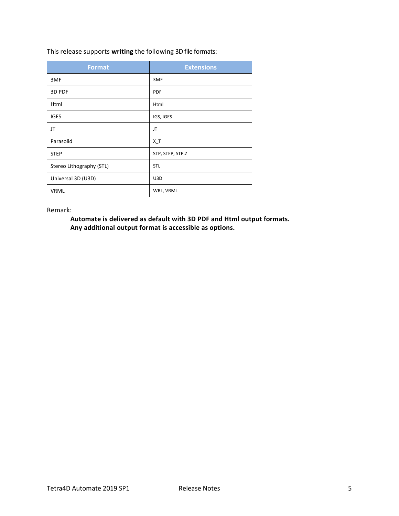This release supports **writing** the following 3D file formats:

| <b>Format</b>            | <b>Extensions</b> |
|--------------------------|-------------------|
| 3MF                      | 3MF               |
| 3D PDF                   | <b>PDF</b>        |
| Html                     | Html              |
| <b>IGES</b>              | IGS, IGES         |
| JT                       | JT                |
| Parasolid                | $X_T$             |
| <b>STEP</b>              | STP, STEP, STP.Z  |
| Stereo Lithography (STL) | <b>STL</b>        |
| Universal 3D (U3D)       | U3D               |
| <b>VRML</b>              | WRL, VRML         |

Remark:

**Automate is delivered as default with 3D PDF and Html output formats. Any additional output format is accessible as options.**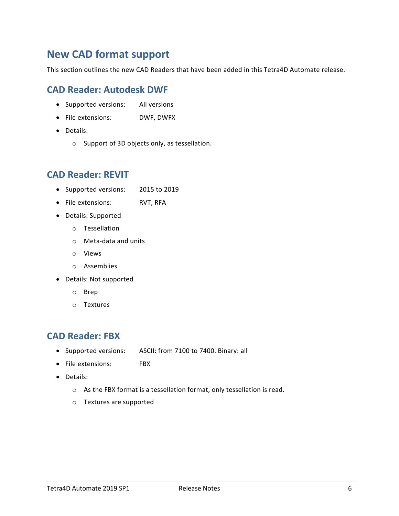## <span id="page-5-0"></span>**New CAD format support**

This section outlines the new CAD Readers that have been added in this Tetra4D Automate release.

#### <span id="page-5-1"></span>**CAD Reader: Autodesk DWF**

- Supported versions: All versions
- File extensions: DWF, DWFX
- Details:
	- o Support of 3D objects only, as tessellation.

#### <span id="page-5-2"></span>**CAD Reader: REVIT**

- Supported versions: 2015 to 2019
- File extensions: RVT, RFA
- Details: Supported
	- o Tessellation
	- o Meta-data and units
	- o Views
	- o Assemblies
- Details: Not supported
	- o Brep
	- o Textures

#### <span id="page-5-3"></span>**CAD Reader: FBX**

- Supported versions: ASCII: from 7100 to 7400. Binary: all
- File extensions: FBX
- Details:
	- o As the FBX format is a tessellation format, only tessellation is read.
	- o Textures are supported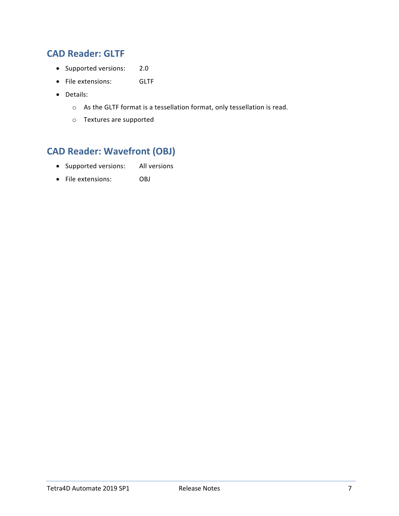#### <span id="page-6-0"></span>**CAD Reader: GLTF**

- Supported versions: 2.0
- File extensions: GLTF
- Details:
	- o As the GLTF format is a tessellation format, only tessellation is read.
	- o Textures are supported

### <span id="page-6-1"></span>**CAD Reader: Wavefront (OBJ)**

- Supported versions: All versions
- File extensions: OBJ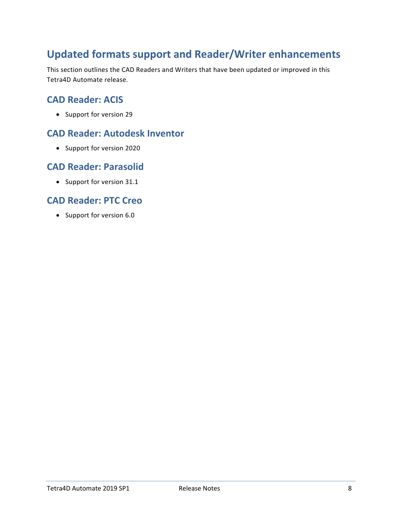## <span id="page-7-0"></span>**Updated formats support and Reader/Writer enhancements**

This section outlines the CAD Readers and Writers that have been updated or improved in this Tetra4D Automate release.

#### <span id="page-7-1"></span>**CAD Reader: ACIS**

• Support for version 29

#### <span id="page-7-2"></span>**CAD Reader: Autodesk Inventor**

• Support for version 2020

#### <span id="page-7-3"></span>**CAD Reader: Parasolid**

• Support for version 31.1

#### <span id="page-7-4"></span>**CAD Reader: PTC Creo**

• Support for version 6.0